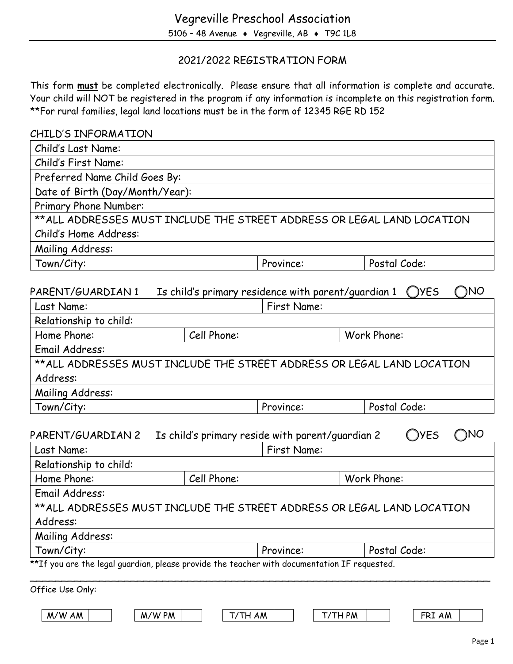# 2021/2022 REGISTRATION FORM

This form **must** be completed electronically. Please ensure that all information is complete and accurate. Your child will NOT be registered in the program if any information is incomplete on this registration form. \*\*For rural families, legal land locations must be in the form of 12345 RGE RD 152

| CHILD'S INFORMATION                                                                          |                                                                    |             |                                    |
|----------------------------------------------------------------------------------------------|--------------------------------------------------------------------|-------------|------------------------------------|
| Child's Last Name:                                                                           |                                                                    |             |                                    |
| Child's First Name:                                                                          |                                                                    |             |                                    |
| Preferred Name Child Goes By:                                                                |                                                                    |             |                                    |
| Date of Birth (Day/Month/Year):                                                              |                                                                    |             |                                    |
| Primary Phone Number:                                                                        |                                                                    |             |                                    |
| ** ALL ADDRESSES MUST INCLUDE THE STREET ADDRESS OR LEGAL LAND LOCATION                      |                                                                    |             |                                    |
| Child's Home Address:                                                                        |                                                                    |             |                                    |
| Mailing Address:                                                                             |                                                                    |             |                                    |
| Town/City:                                                                                   | Province:                                                          |             | Postal Code:                       |
| PARENT/GUARDIAN 1<br>Last Name:                                                              | Is child's primary residence with parent/guardian 1<br>First Name: |             | ΙNΟ<br><b>YES</b><br>$\rightarrow$ |
| Relationship to child:                                                                       |                                                                    |             |                                    |
| Home Phone:                                                                                  | Cell Phone:                                                        | Work Phone: |                                    |
| Email Address:                                                                               |                                                                    |             |                                    |
| ** ALL ADDRESSES MUST INCLUDE THE STREET ADDRESS OR LEGAL LAND LOCATION                      |                                                                    |             |                                    |
| Address:                                                                                     |                                                                    |             |                                    |
| Mailing Address:                                                                             |                                                                    |             |                                    |
| Town/City:                                                                                   | Province:                                                          |             | Postal Code:                       |
| PARENT/GUARDIAN 2<br>Last Name:                                                              | Is child's primary reside with parent/guardian 2<br>First Name:    |             | <b>YES</b><br><b>TNO</b>           |
|                                                                                              |                                                                    |             |                                    |
| Relationship to child:<br>Home Phone:                                                        | Cell Phone:                                                        | Work Phone: |                                    |
|                                                                                              |                                                                    |             |                                    |
| Email Address:                                                                               |                                                                    |             |                                    |
| **ALL ADDRESSES MUST INCLUDE THE STREET ADDRESS OR LEGAL LAND LOCATION<br>Address:           |                                                                    |             |                                    |
| Mailing Address:                                                                             |                                                                    |             |                                    |
| Town/City:                                                                                   | Province:                                                          |             | Postal Code:                       |
| **If you are the legal guardian, please provide the teacher with documentation IF requested. |                                                                    |             |                                    |
|                                                                                              |                                                                    |             |                                    |
| Office Use Only:                                                                             |                                                                    |             |                                    |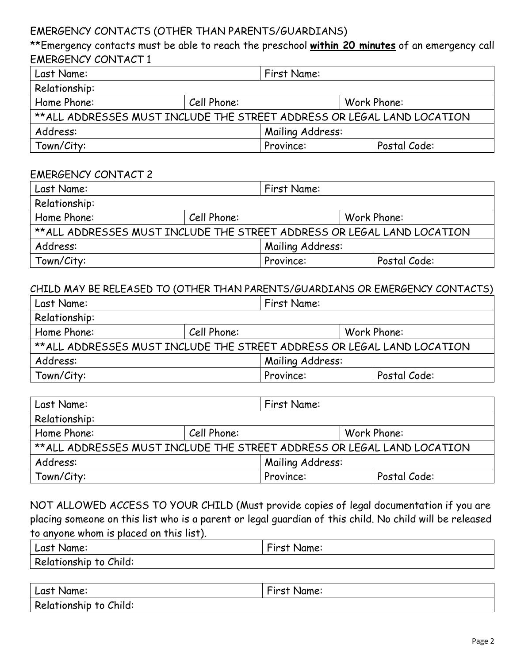## EMERGENCY CONTACTS (OTHER THAN PARENTS/GUARDIANS)

\*\*Emergency contacts must be able to reach the preschool **within 20 minutes** of an emergency call EMERGENCY CONTACT 1

| Last Name:                                                              |             | First Name:      |  |              |  |
|-------------------------------------------------------------------------|-------------|------------------|--|--------------|--|
| Relationship:                                                           |             |                  |  |              |  |
| Home Phone:                                                             | Cell Phone: |                  |  | Work Phone:  |  |
| ** ALL ADDRESSES MUST INCLUDE THE STREET ADDRESS OR LEGAL LAND LOCATION |             |                  |  |              |  |
| Address:                                                                |             | Mailing Address: |  |              |  |
| Town/City:                                                              |             | Province:        |  | Postal Code: |  |

#### EMERGENCY CONTACT 2

| Last Name:<br>First Name:                                               |                            |                  |  |              |
|-------------------------------------------------------------------------|----------------------------|------------------|--|--------------|
| Relationship:                                                           |                            |                  |  |              |
| Home Phone:                                                             | Cell Phone:<br>Work Phone: |                  |  |              |
| ** ALL ADDRESSES MUST INCLUDE THE STREET ADDRESS OR LEGAL LAND LOCATION |                            |                  |  |              |
| Address:                                                                |                            | Mailing Address: |  |              |
| Town/City:                                                              |                            | Province:        |  | Postal Code: |

#### CHILD MAY BE RELEASED TO (OTHER THAN PARENTS/GUARDIANS OR EMERGENCY CONTACTS)

| Last Name:                                                              | First Name: |                           |  |  |
|-------------------------------------------------------------------------|-------------|---------------------------|--|--|
| Relationship:                                                           |             |                           |  |  |
| Home Phone:<br>Cell Phone:<br>Work Phone:                               |             |                           |  |  |
| ** ALL ADDRESSES MUST INCLUDE THE STREET ADDRESS OR LEGAL LAND LOCATION |             |                           |  |  |
| Address:                                                                |             | Mailing Address:          |  |  |
| Town/City:                                                              |             | Postal Code:<br>Province: |  |  |

| Last Name:                                                              |             | First Name:      |              |
|-------------------------------------------------------------------------|-------------|------------------|--------------|
| Relationship:                                                           |             |                  |              |
| Home Phone:                                                             | Cell Phone: |                  | Work Phone:  |
| ** ALL ADDRESSES MUST INCLUDE THE STREET ADDRESS OR LEGAL LAND LOCATION |             |                  |              |
| Address:                                                                |             | Mailing Address: |              |
| Town/City:                                                              |             | Province:        | Postal Code: |

NOT ALLOWED ACCESS TO YOUR CHILD (Must provide copies of legal documentation if you are placing someone on this list who is a parent or legal guardian of this child. No child will be released to anyone whom is placed on this list).

| I Last Name:           | $\overline{\phantom{a}}$<br>First Name: |
|------------------------|-----------------------------------------|
| Relationship to Child: |                                         |

| Last Name:             | First Name: |
|------------------------|-------------|
| Relationship to Child: |             |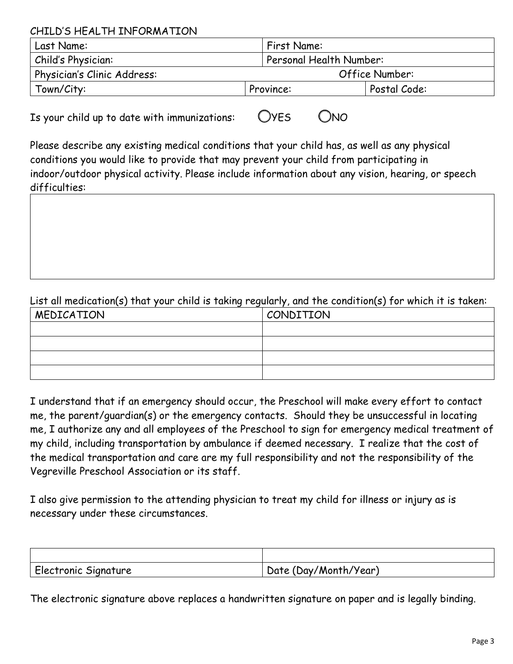CHILD'S HEALTH INFORMATION

| Last Name:                  | <b>First Name:</b> |                         |  |  |
|-----------------------------|--------------------|-------------------------|--|--|
| Child's Physician:          |                    | Personal Health Number: |  |  |
| Physician's Clinic Address: |                    | Office Number:          |  |  |
| Town/City:                  | Province:          | Postal Code:            |  |  |

Is your child up to date with immunizations:  $OVES$   $ONO$ 

Please describe any existing medical conditions that your child has, as well as any physical conditions you would like to provide that may prevent your child from participating in indoor/outdoor physical activity. Please include information about any vision, hearing, or speech difficulties:

# List all medication(s) that your child is taking regularly, and the condition(s) for which it is taken:

| MEDICATION | CONDITION |
|------------|-----------|
|            |           |
|            |           |
|            |           |
|            |           |

I understand that if an emergency should occur, the Preschool will make every effort to contact me, the parent/guardian(s) or the emergency contacts. Should they be unsuccessful in locating me, I authorize any and all employees of the Preschool to sign for emergency medical treatment of my child, including transportation by ambulance if deemed necessary. I realize that the cost of the medical transportation and care are my full responsibility and not the responsibility of the Vegreville Preschool Association or its staff.

I also give permission to the attending physician to treat my child for illness or injury as is necessary under these circumstances.

| Electronic Signature | Date (Day/Month/Year) |
|----------------------|-----------------------|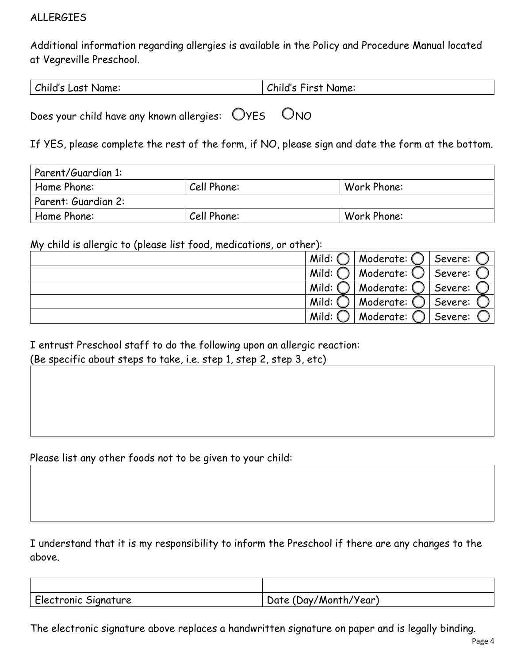## ALLERGIES

Additional information regarding allergies is available in the Policy and Procedure Manual located at Vegreville Preschool.

| Child's Last Name: | Child's First Name: |
|--------------------|---------------------|
|                    |                     |

Does your child have any known allergies:  $O$ YES  $O$ NO

If YES, please complete the rest of the form, if NO, please sign and date the form at the bottom.

| Parent/Guardian 1:  |             |             |
|---------------------|-------------|-------------|
| Home Phone:         | Cell Phone: | Work Phone: |
| Parent: Guardian 2: |             |             |
| Home Phone:         | Cell Phone: | Work Phone: |

My child is allergic to (please list food, medications, or other):

| Mild: | Moderate: ( | Severe: |
|-------|-------------|---------|
| Mild: | Moderate: ( | Severe: |
| Mild: | Moderate:   | Severe: |
| Mild: | Moderate:   | Severe: |
| Mild: | Moderate:   | Severe: |

## I entrust Preschool staff to do the following upon an allergic reaction: (Be specific about steps to take, i.e. step 1, step 2, step 3, etc)

Please list any other foods not to be given to your child:

I understand that it is my responsibility to inform the Preschool if there are any changes to the above.

| Electronic Signature | Date (Day/Month/Year) |
|----------------------|-----------------------|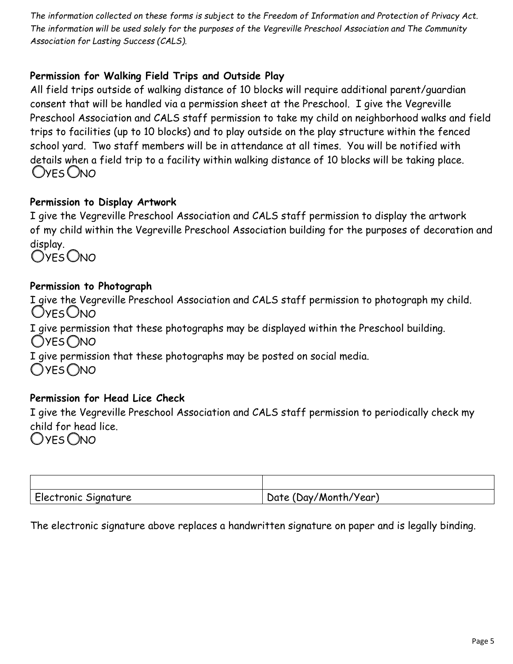*The information collected on these forms is subject to the Freedom of Information and Protection of Privacy Act. The information will be used solely for the purposes of the Vegreville Preschool Association and The Community Association for Lasting Success (CALS).* 

# **Permission for Walking Field Trips and Outside Play**

All field trips outside of walking distance of 10 blocks will require additional parent/guardian consent that will be handled via a permission sheet at the Preschool. I give the Vegreville Preschool Association and CALS staff permission to take my child on neighborhood walks and field trips to facilities (up to 10 blocks) and to play outside on the play structure within the fenced school yard. Two staff members will be in attendance at all times. You will be notified with details when a field trip to a facility within walking distance of 10 blocks will be taking place. Oyes Ono

## **Permission to Display Artwork**

I give the Vegreville Preschool Association and CALS staff permission to display the artwork of my child within the Vegreville Preschool Association building for the purposes of decoration and display.

OYES ONO

## **Permission to Photograph**

I give the Vegreville Preschool Association and CALS staff permission to photograph my child. **OYFS ONO** I give permission that these photographs may be displayed within the Preschool building. OYES ONO I give permission that these photographs may be posted on social media. OYES ONO **Permission for Head Lice Check**

# I give the Vegreville Preschool Association and CALS staff permission to periodically check my child for head lice. OYES ONO

| <sup>1</sup> Electronic Signature | Date (Day/Month/Year) |
|-----------------------------------|-----------------------|